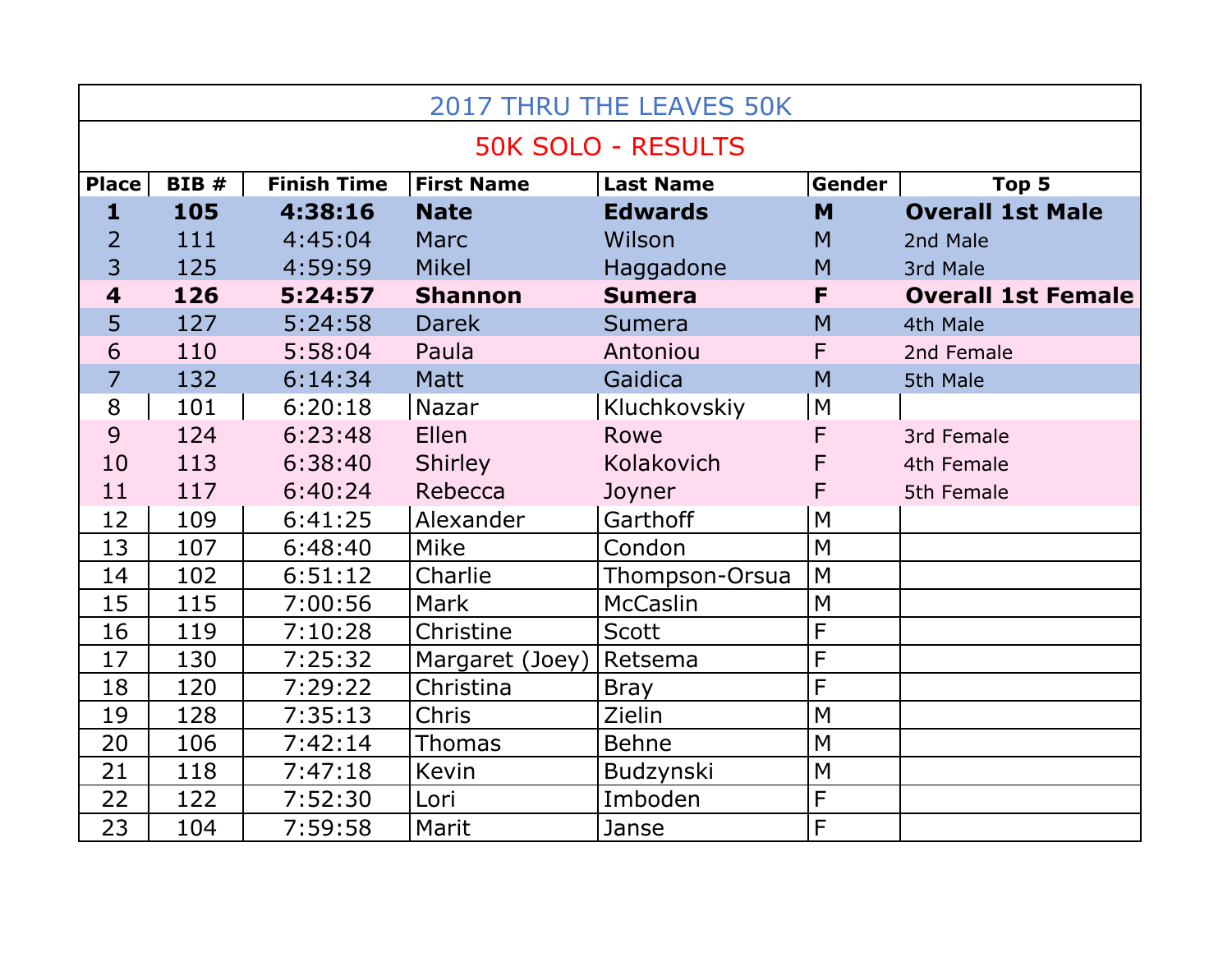| <b>2017 THRU THE LEAVES 50K</b> |             |                    |                   |                  |                |                           |  |  |  |  |
|---------------------------------|-------------|--------------------|-------------------|------------------|----------------|---------------------------|--|--|--|--|
| <b>50K SOLO - RESULTS</b>       |             |                    |                   |                  |                |                           |  |  |  |  |
| <b>Place</b>                    | <b>BIB#</b> | <b>Finish Time</b> | <b>First Name</b> | <b>Last Name</b> | Gender         | Top 5                     |  |  |  |  |
| $\mathbf{1}$                    | 105         | 4:38:16            | <b>Nate</b>       | <b>Edwards</b>   | M              | <b>Overall 1st Male</b>   |  |  |  |  |
| $\overline{2}$                  | 111         | 4:45:04            | <b>Marc</b>       | Wilson           | M              | 2nd Male                  |  |  |  |  |
| 3                               | 125         | 4:59:59            | <b>Mikel</b>      | Haggadone        | M              | 3rd Male                  |  |  |  |  |
| $\overline{\mathbf{4}}$         | 126         | 5:24:57            | <b>Shannon</b>    | <b>Sumera</b>    | F              | <b>Overall 1st Female</b> |  |  |  |  |
| 5                               | 127         | 5:24:58            | <b>Darek</b>      | Sumera           | M              | 4th Male                  |  |  |  |  |
| 6                               | 110         | 5:58:04            | Paula             | Antoniou         | F              | 2nd Female                |  |  |  |  |
| $\overline{7}$                  | 132         | 6:14:34            | <b>Matt</b>       | Gaidica          | M              | 5th Male                  |  |  |  |  |
| 8                               | 101         | 6:20:18            | Nazar             | Kluchkovskiy     | M              |                           |  |  |  |  |
| 9                               | 124         | 6:23:48            | Ellen             | Rowe             | F              | 3rd Female                |  |  |  |  |
| 10                              | 113         | 6:38:40            | Shirley           | Kolakovich       | F              | 4th Female                |  |  |  |  |
| 11                              | 117         | 6:40:24            | Rebecca           | Joyner           | F              | 5th Female                |  |  |  |  |
| 12                              | 109         | 6:41:25            | Alexander         | Garthoff         | M              |                           |  |  |  |  |
| 13                              | 107         | 6:48:40            | Mike              | Condon           | M              |                           |  |  |  |  |
| 14                              | 102         | 6:51:12            | Charlie           | Thompson-Orsua   | M              |                           |  |  |  |  |
| 15                              | 115         | 7:00:56            | <b>Mark</b>       | McCaslin         | M              |                           |  |  |  |  |
| 16                              | 119         | 7:10:28            | Christine         | <b>Scott</b>     | $\overline{F}$ |                           |  |  |  |  |
| 17                              | 130         | 7:25:32            | Margaret (Joey)   | Retsema          | F              |                           |  |  |  |  |
| 18                              | 120         | 7:29:22            | Christina         | <b>Bray</b>      | $\overline{F}$ |                           |  |  |  |  |
| 19                              | 128         | 7:35:13            | Chris             | Zielin           | M              |                           |  |  |  |  |
| 20                              | 106         | 7:42:14            | <b>Thomas</b>     | <b>Behne</b>     | M              |                           |  |  |  |  |
| 21                              | 118         | 7:47:18            | Kevin             | Budzynski        | M              |                           |  |  |  |  |
| 22                              | 122         | 7:52:30            | Lori              | Imboden          | $\overline{F}$ |                           |  |  |  |  |
| 23                              | 104         | 7:59:58            | Marit             | Janse            | F              |                           |  |  |  |  |